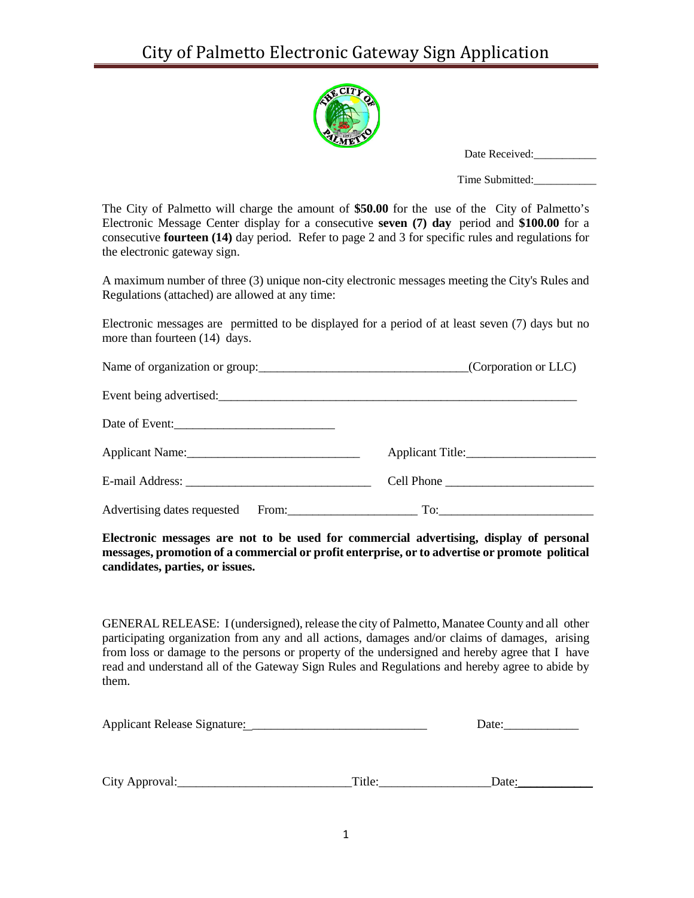

| Date Received: |
|----------------|
|----------------|

Time Submitted:\_\_\_\_\_\_\_\_\_\_\_

The City of Palmetto will charge the amount of **\$50.00** for the use of the City of Palmetto's Electronic Message Center display for a consecutive **seven (7) day** period and **\$100.00** for a consecutive **fourteen (14)** day period. Refer to page 2 and 3 for specific rules and regulations for the electronic gateway sign.

A maximum number of three (3) unique non-city electronic messages meeting the City's Rules and Regulations (attached) are allowed at any time:

Electronic messages are permitted to be displayed for a period of at least seven (7) days but no more than fourteen  $(14)$  days.

|                | Name of organization or group: (Corporation or LLC)   |
|----------------|-------------------------------------------------------|
|                |                                                       |
| Date of Event: |                                                       |
|                |                                                       |
|                | Cell Phone                                            |
|                | Advertising dates requested From: To: To: To: To: To: |

**Electronic messages are not to be used for commercial advertising, display of personal messages, promotion of a commercial or profit enterprise, or to advertise or promote political candidates, parties, or issues.**

GENERAL RELEASE: I(undersigned), release the city of Palmetto, Manatee County and all other participating organization from any and all actions, damages and/or claims of damages, arising from loss or damage to the persons or property of the undersigned and hereby agree that I have read and understand all of the Gateway Sign Rules and Regulations and hereby agree to abide by them.

| Applicant Release Signature: | Date: |
|------------------------------|-------|
|------------------------------|-------|

| City<br>roval.<br>A nnr<br>$\sim$ $\sim$ $\sim$ | -11 P |  |
|-------------------------------------------------|-------|--|
|-------------------------------------------------|-------|--|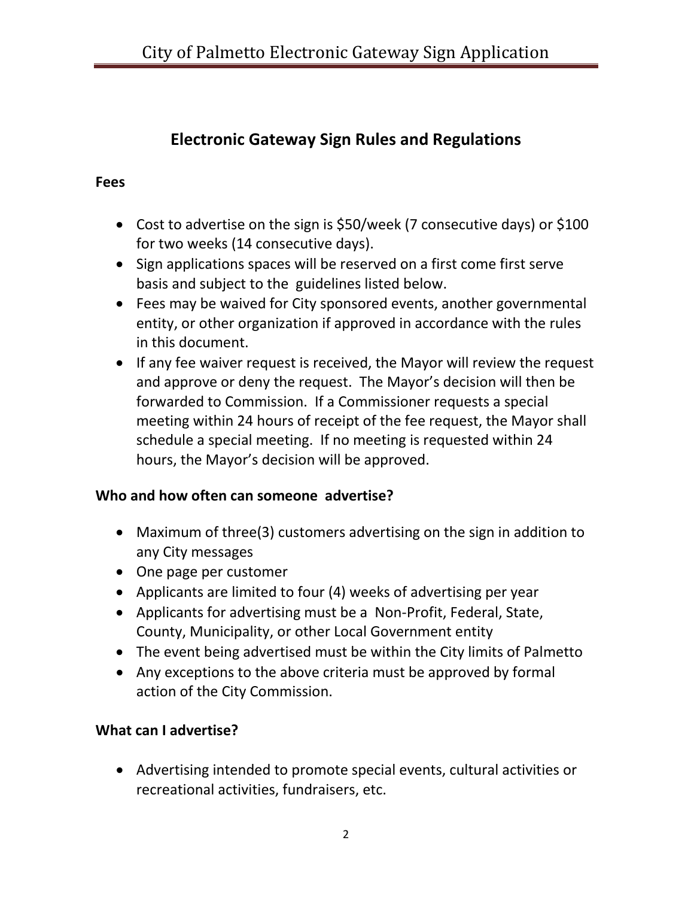# **Electronic Gateway Sign Rules and Regulations**

#### **Fees**

- Cost to advertise on the sign is \$50/week (7 consecutive days) or \$100 for two weeks (14 consecutive days).
- Sign applications spaces will be reserved on a first come first serve basis and subject to the guidelines listed below.
- Fees may be waived for City sponsored events, another governmental entity, or other organization if approved in accordance with the rules in this document.
- If any fee waiver request is received, the Mayor will review the request and approve or deny the request. The Mayor's decision will then be forwarded to Commission. If a Commissioner requests a special meeting within 24 hours of receipt of the fee request, the Mayor shall schedule a special meeting. If no meeting is requested within 24 hours, the Mayor's decision will be approved.

### **Who and how often can someone advertise?**

- Maximum of three(3) customers advertising on the sign in addition to any City messages
- One page per customer
- Applicants are limited to four (4) weeks of advertising per year
- Applicants for advertising must be a Non-Profit, Federal, State, County, Municipality, or other Local Government entity
- The event being advertised must be within the City limits of Palmetto
- Any exceptions to the above criteria must be approved by formal action of the City Commission.

## **What can I advertise?**

• Advertising intended to promote special events, cultural activities or recreational activities, fundraisers, etc.